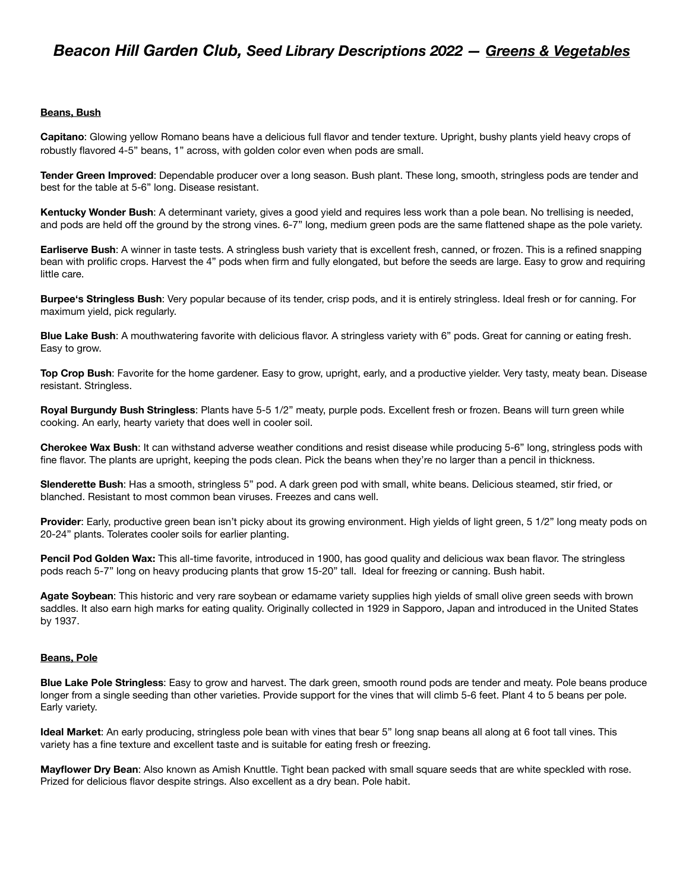## **Beans, Bush**

**Capitano**: Glowing yellow Romano beans have a delicious full flavor and tender texture. Upright, bushy plants yield heavy crops of robustly flavored 4-5" beans, 1" across, with golden color even when pods are small.

**Tender Green Improved**: Dependable producer over a long season. Bush plant. These long, smooth, stringless pods are tender and best for the table at 5-6" long. Disease resistant.

**Kentucky Wonder Bush**: A determinant variety, gives a good yield and requires less work than a pole bean. No trellising is needed, and pods are held off the ground by the strong vines. 6-7" long, medium green pods are the same flattened shape as the pole variety.

**Earliserve Bush**: A winner in taste tests. A stringless bush variety that is excellent fresh, canned, or frozen. This is a refined snapping bean with prolific crops. Harvest the 4" pods when firm and fully elongated, but before the seeds are large. Easy to grow and requiring little care.

**Burpee's Stringless Bush**: Very popular because of its tender, crisp pods, and it is entirely stringless. Ideal fresh or for canning. For maximum yield, pick regularly.

**Blue Lake Bush**: A mouthwatering favorite with delicious flavor. A stringless variety with 6" pods. Great for canning or eating fresh. Easy to grow.

**Top Crop Bush**: Favorite for the home gardener. Easy to grow, upright, early, and a productive yielder. Very tasty, meaty bean. Disease resistant. Stringless.

**Royal Burgundy Bush Stringless**: Plants have 5-5 1/2" meaty, purple pods. Excellent fresh or frozen. Beans will turn green while cooking. An early, hearty variety that does well in cooler soil.

**Cherokee Wax Bush**: It can withstand adverse weather conditions and resist disease while producing 5-6" long, stringless pods with fine flavor. The plants are upright, keeping the pods clean. Pick the beans when they're no larger than a pencil in thickness.

**Slenderette Bush**: Has a smooth, stringless 5" pod. A dark green pod with small, white beans. Delicious steamed, stir fried, or blanched. Resistant to most common bean viruses. Freezes and cans well.

**Provider**: Early, productive green bean isn't picky about its growing environment. High yields of light green, 5 1/2" long meaty pods on 20-24" plants. Tolerates cooler soils for earlier planting.

**Pencil Pod Golden Wax:** This all-time favorite, introduced in 1900, has good quality and delicious wax bean flavor. The stringless pods reach 5-7" long on heavy producing plants that grow 15-20" tall. Ideal for freezing or canning. Bush habit.

**Agate Soybean**: This historic and very rare soybean or edamame variety supplies high yields of small olive green seeds with brown saddles. It also earn high marks for eating quality. Originally collected in 1929 in Sapporo, Japan and introduced in the United States by 1937.

### **Beans, Pole**

**Blue Lake Pole Stringless**: Easy to grow and harvest. The dark green, smooth round pods are tender and meaty. Pole beans produce longer from a single seeding than other varieties. Provide support for the vines that will climb 5-6 feet. Plant 4 to 5 beans per pole. Early variety.

**Ideal Market**: An early producing, stringless pole bean with vines that bear 5" long snap beans all along at 6 foot tall vines. This variety has a fine texture and excellent taste and is suitable for eating fresh or freezing.

**Mayflower Dry Bean**: Also known as Amish Knuttle. Tight bean packed with small square seeds that are white speckled with rose. Prized for delicious flavor despite strings. Also excellent as a dry bean. Pole habit.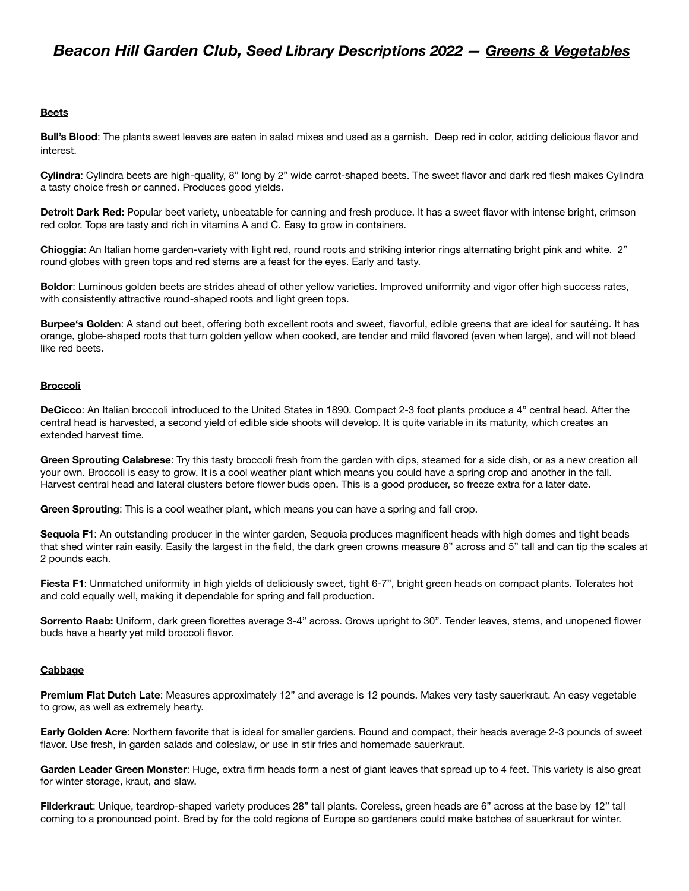## **Beets**

**Bull's Blood**: The plants sweet leaves are eaten in salad mixes and used as a garnish. Deep red in color, adding delicious flavor and interest.

**Cylindra**: Cylindra beets are high-quality, 8" long by 2" wide carrot-shaped beets. The sweet flavor and dark red flesh makes Cylindra a tasty choice fresh or canned. Produces good yields.

**Detroit Dark Red:** Popular beet variety, unbeatable for canning and fresh produce. It has a sweet flavor with intense bright, crimson red color. Tops are tasty and rich in vitamins A and C. Easy to grow in containers.

**Chioggia**: An Italian home garden-variety with light red, round roots and striking interior rings alternating bright pink and white. 2" round globes with green tops and red stems are a feast for the eyes. Early and tasty.

**Boldor**: Luminous golden beets are strides ahead of other yellow varieties. Improved uniformity and vigor offer high success rates, with consistently attractive round-shaped roots and light green tops.

**Burpee's Golden**: A stand out beet, offering both excellent roots and sweet, flavorful, edible greens that are ideal for sautéing. It has orange, globe-shaped roots that turn golden yellow when cooked, are tender and mild flavored (even when large), and will not bleed like red beets.

### **Broccoli**

**DeCicco**: An Italian broccoli introduced to the United States in 1890. Compact 2-3 foot plants produce a 4" central head. After the central head is harvested, a second yield of edible side shoots will develop. It is quite variable in its maturity, which creates an extended harvest time.

**Green Sprouting Calabrese**: Try this tasty broccoli fresh from the garden with dips, steamed for a side dish, or as a new creation all your own. Broccoli is easy to grow. It is a cool weather plant which means you could have a spring crop and another in the fall. Harvest central head and lateral clusters before flower buds open. This is a good producer, so freeze extra for a later date.

**Green Sprouting**: This is a cool weather plant, which means you can have a spring and fall crop.

**Sequoia F1**: An outstanding producer in the winter garden, Sequoia produces magnificent heads with high domes and tight beads that shed winter rain easily. Easily the largest in the field, the dark green crowns measure 8" across and 5" tall and can tip the scales at 2 pounds each.

**Fiesta F1**: Unmatched uniformity in high yields of deliciously sweet, tight 6-7", bright green heads on compact plants. Tolerates hot and cold equally well, making it dependable for spring and fall production.

**Sorrento Raab:** Uniform, dark green florettes average 3-4" across. Grows upright to 30". Tender leaves, stems, and unopened flower buds have a hearty yet mild broccoli flavor.

### **Cabbage**

**Premium Flat Dutch Late**: Measures approximately 12" and average is 12 pounds. Makes very tasty sauerkraut. An easy vegetable to grow, as well as extremely hearty.

**Early Golden Acre**: Northern favorite that is ideal for smaller gardens. Round and compact, their heads average 2-3 pounds of sweet flavor. Use fresh, in garden salads and coleslaw, or use in stir fries and homemade sauerkraut.

**Garden Leader Green Monster**: Huge, extra firm heads form a nest of giant leaves that spread up to 4 feet. This variety is also great for winter storage, kraut, and slaw.

**Filderkraut**: Unique, teardrop-shaped variety produces 28" tall plants. Coreless, green heads are 6" across at the base by 12" tall coming to a pronounced point. Bred by for the cold regions of Europe so gardeners could make batches of sauerkraut for winter.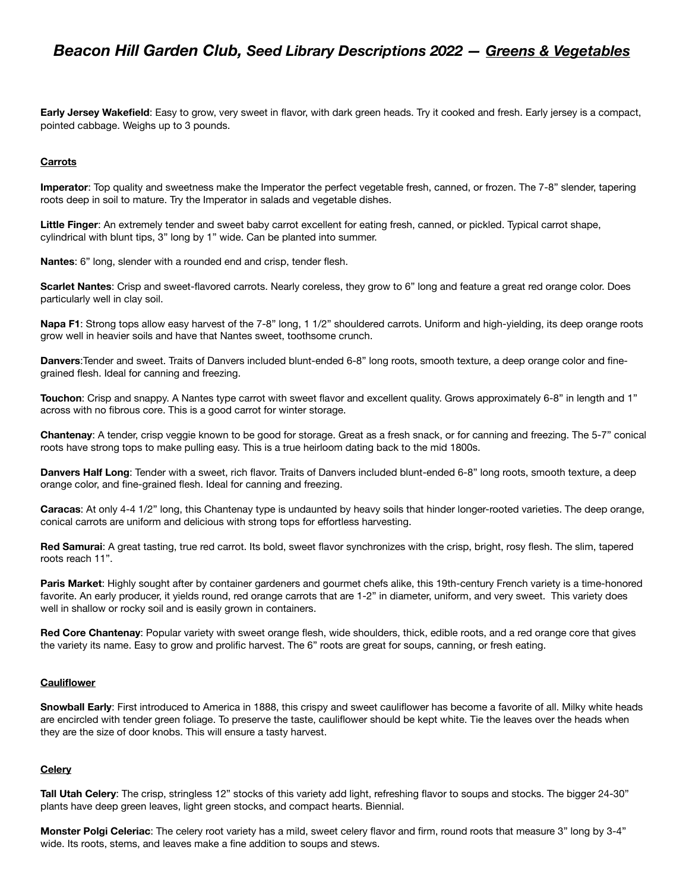**Early Jersey Wakefield**: Easy to grow, very sweet in flavor, with dark green heads. Try it cooked and fresh. Early jersey is a compact, pointed cabbage. Weighs up to 3 pounds.

## **Carrots**

**Imperator**: Top quality and sweetness make the Imperator the perfect vegetable fresh, canned, or frozen. The 7-8" slender, tapering roots deep in soil to mature. Try the Imperator in salads and vegetable dishes.

**Little Finger**: An extremely tender and sweet baby carrot excellent for eating fresh, canned, or pickled. Typical carrot shape, cylindrical with blunt tips, 3" long by 1" wide. Can be planted into summer.

**Nantes**: 6" long, slender with a rounded end and crisp, tender flesh.

**Scarlet Nantes**: Crisp and sweet-flavored carrots. Nearly coreless, they grow to 6" long and feature a great red orange color. Does particularly well in clay soil.

**Napa F1**: Strong tops allow easy harvest of the 7-8" long, 1 1/2" shouldered carrots. Uniform and high-yielding, its deep orange roots grow well in heavier soils and have that Nantes sweet, toothsome crunch.

**Danvers**:Tender and sweet. Traits of Danvers included blunt-ended 6-8" long roots, smooth texture, a deep orange color and finegrained flesh. Ideal for canning and freezing.

**Touchon**: Crisp and snappy. A Nantes type carrot with sweet flavor and excellent quality. Grows approximately 6-8" in length and 1" across with no fibrous core. This is a good carrot for winter storage.

**Chantenay**: A tender, crisp veggie known to be good for storage. Great as a fresh snack, or for canning and freezing. The 5-7" conical roots have strong tops to make pulling easy. This is a true heirloom dating back to the mid 1800s.

**Danvers Half Long**: Tender with a sweet, rich flavor. Traits of Danvers included blunt-ended 6-8" long roots, smooth texture, a deep orange color, and fine-grained flesh. Ideal for canning and freezing.

**Caracas**: At only 4-4 1/2" long, this Chantenay type is undaunted by heavy soils that hinder longer-rooted varieties. The deep orange, conical carrots are uniform and delicious with strong tops for effortless harvesting.

**Red Samurai**: A great tasting, true red carrot. Its bold, sweet flavor synchronizes with the crisp, bright, rosy flesh. The slim, tapered roots reach 11".

**Paris Market**: Highly sought after by container gardeners and gourmet chefs alike, this 19th-century French variety is a time-honored favorite. An early producer, it yields round, red orange carrots that are 1-2" in diameter, uniform, and very sweet. This variety does well in shallow or rocky soil and is easily grown in containers.

**Red Core Chantenay**: Popular variety with sweet orange flesh, wide shoulders, thick, edible roots, and a red orange core that gives the variety its name. Easy to grow and prolific harvest. The 6" roots are great for soups, canning, or fresh eating.

## **Cauliflower**

**Snowball Early**: First introduced to America in 1888, this crispy and sweet cauliflower has become a favorite of all. Milky white heads are encircled with tender green foliage. To preserve the taste, cauliflower should be kept white. Tie the leaves over the heads when they are the size of door knobs. This will ensure a tasty harvest.

### **Celery**

**Tall Utah Celery**: The crisp, stringless 12" stocks of this variety add light, refreshing flavor to soups and stocks. The bigger 24-30" plants have deep green leaves, light green stocks, and compact hearts. Biennial.

**Monster Polgi Celeriac**: The celery root variety has a mild, sweet celery flavor and firm, round roots that measure 3" long by 3-4" wide. Its roots, stems, and leaves make a fine addition to soups and stews.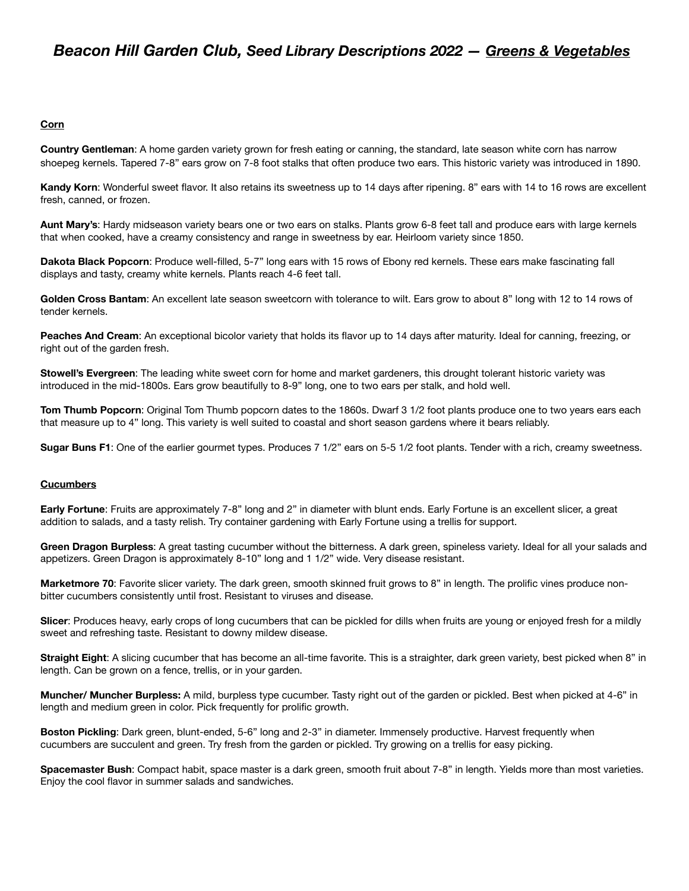## **Corn**

**Country Gentleman**: A home garden variety grown for fresh eating or canning, the standard, late season white corn has narrow shoepeg kernels. Tapered 7-8" ears grow on 7-8 foot stalks that often produce two ears. This historic variety was introduced in 1890.

**Kandy Korn**: Wonderful sweet flavor. It also retains its sweetness up to 14 days after ripening. 8" ears with 14 to 16 rows are excellent fresh, canned, or frozen.

**Aunt Mary's**: Hardy midseason variety bears one or two ears on stalks. Plants grow 6-8 feet tall and produce ears with large kernels that when cooked, have a creamy consistency and range in sweetness by ear. Heirloom variety since 1850.

**Dakota Black Popcorn**: Produce well-filled, 5-7" long ears with 15 rows of Ebony red kernels. These ears make fascinating fall displays and tasty, creamy white kernels. Plants reach 4-6 feet tall.

**Golden Cross Bantam**: An excellent late season sweetcorn with tolerance to wilt. Ears grow to about 8" long with 12 to 14 rows of tender kernels.

**Peaches And Cream**: An exceptional bicolor variety that holds its flavor up to 14 days after maturity. Ideal for canning, freezing, or right out of the garden fresh.

**Stowell's Evergreen**: The leading white sweet corn for home and market gardeners, this drought tolerant historic variety was introduced in the mid-1800s. Ears grow beautifully to 8-9" long, one to two ears per stalk, and hold well.

**Tom Thumb Popcorn**: Original Tom Thumb popcorn dates to the 1860s. Dwarf 3 1/2 foot plants produce one to two years ears each that measure up to 4" long. This variety is well suited to coastal and short season gardens where it bears reliably.

**Sugar Buns F1**: One of the earlier gourmet types. Produces 7 1/2" ears on 5-5 1/2 foot plants. Tender with a rich, creamy sweetness.

## **Cucumbers**

**Early Fortune**: Fruits are approximately 7-8" long and 2" in diameter with blunt ends. Early Fortune is an excellent slicer, a great addition to salads, and a tasty relish. Try container gardening with Early Fortune using a trellis for support.

**Green Dragon Burpless**: A great tasting cucumber without the bitterness. A dark green, spineless variety. Ideal for all your salads and appetizers. Green Dragon is approximately 8-10" long and 1 1/2" wide. Very disease resistant.

**Marketmore 70**: Favorite slicer variety. The dark green, smooth skinned fruit grows to 8" in length. The prolific vines produce nonbitter cucumbers consistently until frost. Resistant to viruses and disease.

**Slicer**: Produces heavy, early crops of long cucumbers that can be pickled for dills when fruits are young or enjoyed fresh for a mildly sweet and refreshing taste. Resistant to downy mildew disease.

**Straight Eight**: A slicing cucumber that has become an all-time favorite. This is a straighter, dark green variety, best picked when 8" in length. Can be grown on a fence, trellis, or in your garden.

**Muncher/ Muncher Burpless:** A mild, burpless type cucumber. Tasty right out of the garden or pickled. Best when picked at 4-6" in length and medium green in color. Pick frequently for prolific growth.

**Boston Pickling**: Dark green, blunt-ended, 5-6" long and 2-3" in diameter. Immensely productive. Harvest frequently when cucumbers are succulent and green. Try fresh from the garden or pickled. Try growing on a trellis for easy picking.

**Spacemaster Bush**: Compact habit, space master is a dark green, smooth fruit about 7-8" in length. Yields more than most varieties. Enjoy the cool flavor in summer salads and sandwiches.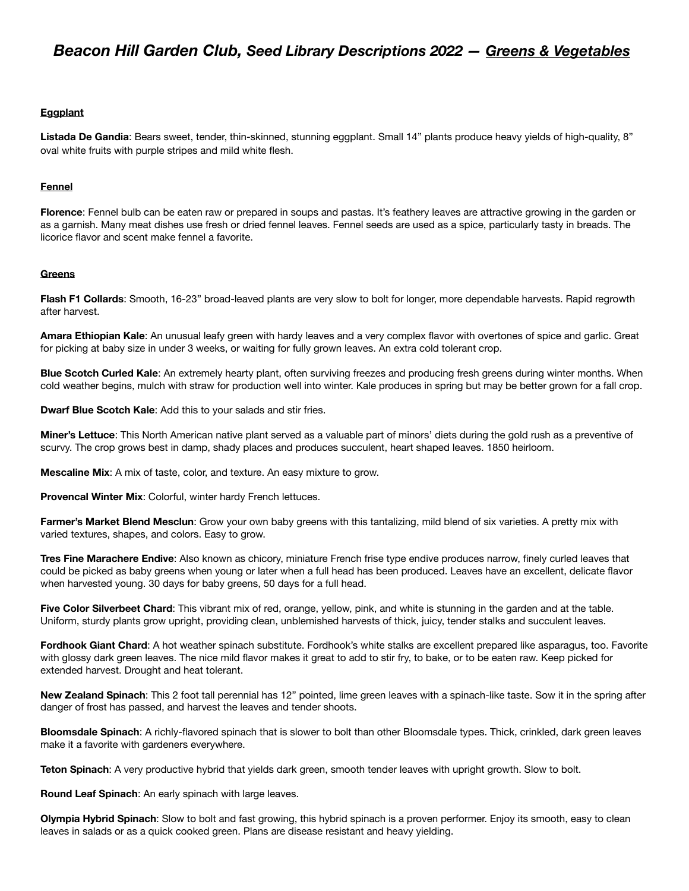## **Eggplant**

**Listada De Gandia**: Bears sweet, tender, thin-skinned, stunning eggplant. Small 14" plants produce heavy yields of high-quality, 8" oval white fruits with purple stripes and mild white flesh.

## **Fennel**

**Florence**: Fennel bulb can be eaten raw or prepared in soups and pastas. It's feathery leaves are attractive growing in the garden or as a garnish. Many meat dishes use fresh or dried fennel leaves. Fennel seeds are used as a spice, particularly tasty in breads. The licorice flavor and scent make fennel a favorite.

### **Greens**

**Flash F1 Collards**: Smooth, 16-23" broad-leaved plants are very slow to bolt for longer, more dependable harvests. Rapid regrowth after harvest.

**Amara Ethiopian Kale**: An unusual leafy green with hardy leaves and a very complex flavor with overtones of spice and garlic. Great for picking at baby size in under 3 weeks, or waiting for fully grown leaves. An extra cold tolerant crop.

**Blue Scotch Curled Kale**: An extremely hearty plant, often surviving freezes and producing fresh greens during winter months. When cold weather begins, mulch with straw for production well into winter. Kale produces in spring but may be better grown for a fall crop.

**Dwarf Blue Scotch Kale**: Add this to your salads and stir fries.

**Miner's Lettuce**: This North American native plant served as a valuable part of minors' diets during the gold rush as a preventive of scurvy. The crop grows best in damp, shady places and produces succulent, heart shaped leaves. 1850 heirloom.

**Mescaline Mix**: A mix of taste, color, and texture. An easy mixture to grow.

**Provencal Winter Mix**: Colorful, winter hardy French lettuces.

**Farmer's Market Blend Mesclun**: Grow your own baby greens with this tantalizing, mild blend of six varieties. A pretty mix with varied textures, shapes, and colors. Easy to grow.

**Tres Fine Marachere Endive**: Also known as chicory, miniature French frise type endive produces narrow, finely curled leaves that could be picked as baby greens when young or later when a full head has been produced. Leaves have an excellent, delicate flavor when harvested young. 30 days for baby greens, 50 days for a full head.

**Five Color Silverbeet Chard**: This vibrant mix of red, orange, yellow, pink, and white is stunning in the garden and at the table. Uniform, sturdy plants grow upright, providing clean, unblemished harvests of thick, juicy, tender stalks and succulent leaves.

**Fordhook Giant Chard**: A hot weather spinach substitute. Fordhook's white stalks are excellent prepared like asparagus, too. Favorite with glossy dark green leaves. The nice mild flavor makes it great to add to stir fry, to bake, or to be eaten raw. Keep picked for extended harvest. Drought and heat tolerant.

**New Zealand Spinach**: This 2 foot tall perennial has 12" pointed, lime green leaves with a spinach-like taste. Sow it in the spring after danger of frost has passed, and harvest the leaves and tender shoots.

**Bloomsdale Spinach**: A richly-flavored spinach that is slower to bolt than other Bloomsdale types. Thick, crinkled, dark green leaves make it a favorite with gardeners everywhere.

**Teton Spinach**: A very productive hybrid that yields dark green, smooth tender leaves with upright growth. Slow to bolt.

**Round Leaf Spinach**: An early spinach with large leaves.

**Olympia Hybrid Spinach**: Slow to bolt and fast growing, this hybrid spinach is a proven performer. Enjoy its smooth, easy to clean leaves in salads or as a quick cooked green. Plans are disease resistant and heavy yielding.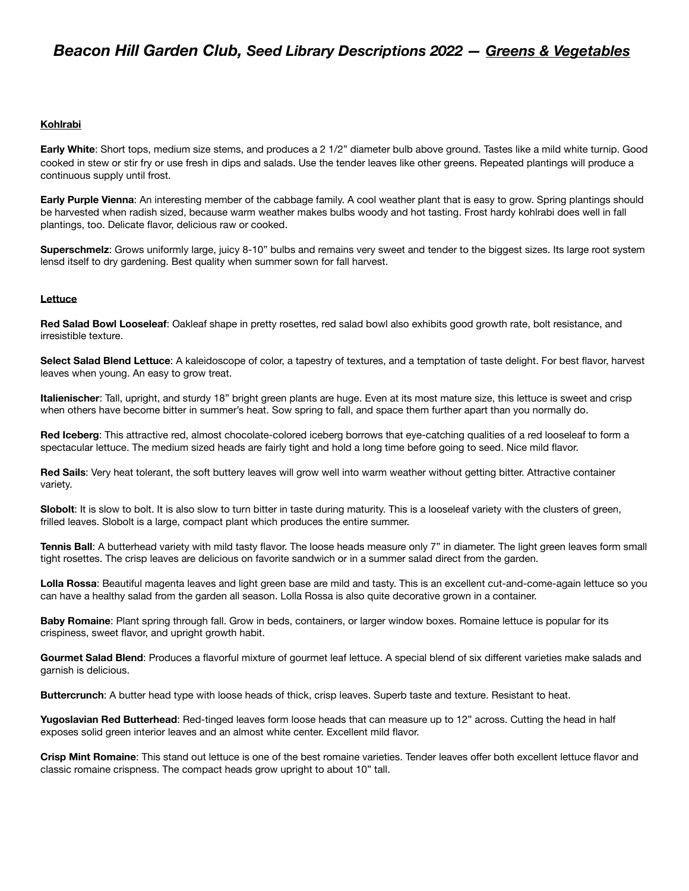## **Kohlrabi**

**Early White**: Short tops, medium size stems, and produces a 2 1/2" diameter bulb above ground. Tastes like a mild white turnip. Good cooked in stew or stir fry or use fresh in dips and salads. Use the tender leaves like other greens. Repeated plantings will produce a continuous supply until frost.

**Early Purple Vienna**: An interesting member of the cabbage family. A cool weather plant that is easy to grow. Spring plantings should be harvested when radish sized, because warm weather makes bulbs woody and hot tasting. Frost hardy kohlrabi does well in fall plantings, too. Delicate flavor, delicious raw or cooked.

**Superschmelz**: Grows uniformly large, juicy 8-10" bulbs and remains very sweet and tender to the biggest sizes. Its large root system lensd itself to dry gardening. Best quality when summer sown for fall harvest.

## **Lettuce**

**Red Salad Bowl Looseleaf**: Oakleaf shape in pretty rosettes, red salad bowl also exhibits good growth rate, bolt resistance, and irresistible texture.

**Select Salad Blend Lettuce**: A kaleidoscope of color, a tapestry of textures, and a temptation of taste delight. For best flavor, harvest leaves when young. An easy to grow treat.

**Italienischer**: Tall, upright, and sturdy 18" bright green plants are huge. Even at its most mature size, this lettuce is sweet and crisp when others have become bitter in summer's heat. Sow spring to fall, and space them further apart than you normally do.

**Red Iceberg**: This attractive red, almost chocolate-colored iceberg borrows that eye-catching qualities of a red looseleaf to form a spectacular lettuce. The medium sized heads are fairly tight and hold a long time before going to seed. Nice mild flavor.

**Red Sails**: Very heat tolerant, the soft buttery leaves will grow well into warm weather without getting bitter. Attractive container variety.

**Slobolt**: It is slow to bolt. It is also slow to turn bitter in taste during maturity. This is a looseleaf variety with the clusters of green, frilled leaves. Slobolt is a large, compact plant which produces the entire summer.

**Tennis Ball**: A butterhead variety with mild tasty flavor. The loose heads measure only 7" in diameter. The light green leaves form small tight rosettes. The crisp leaves are delicious on favorite sandwich or in a summer salad direct from the garden.

**Lolla Rossa**: Beautiful magenta leaves and light green base are mild and tasty. This is an excellent cut-and-come-again lettuce so you can have a healthy salad from the garden all season. Lolla Rossa is also quite decorative grown in a container.

**Baby Romaine**: Plant spring through fall. Grow in beds, containers, or larger window boxes. Romaine lettuce is popular for its crispiness, sweet flavor, and upright growth habit.

**Gourmet Salad Blend**: Produces a flavorful mixture of gourmet leaf lettuce. A special blend of six different varieties make salads and garnish is delicious.

**Buttercrunch**: A butter head type with loose heads of thick, crisp leaves. Superb taste and texture. Resistant to heat.

**Yugoslavian Red Butterhead**: Red-tinged leaves form loose heads that can measure up to 12" across. Cutting the head in half exposes solid green interior leaves and an almost white center. Excellent mild flavor.

**Crisp Mint Romaine**: This stand out lettuce is one of the best romaine varieties. Tender leaves offer both excellent lettuce flavor and classic romaine crispness. The compact heads grow upright to about 10" tall.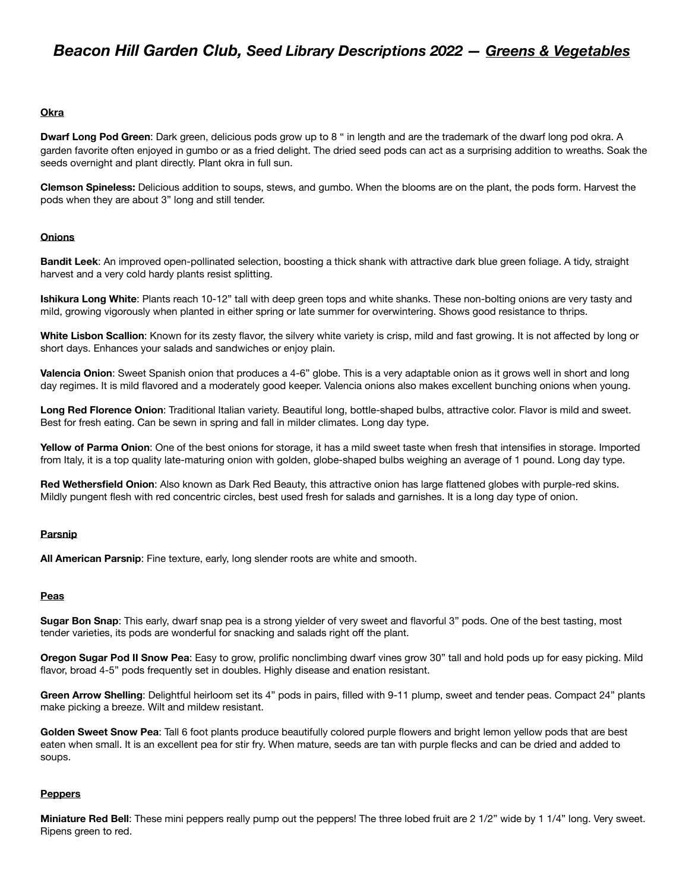## **Okra**

**Dwarf Long Pod Green**: Dark green, delicious pods grow up to 8 " in length and are the trademark of the dwarf long pod okra. A garden favorite often enjoyed in gumbo or as a fried delight. The dried seed pods can act as a surprising addition to wreaths. Soak the seeds overnight and plant directly. Plant okra in full sun.

**Clemson Spineless:** Delicious addition to soups, stews, and gumbo. When the blooms are on the plant, the pods form. Harvest the pods when they are about 3" long and still tender.

### **Onions**

**Bandit Leek**: An improved open-pollinated selection, boosting a thick shank with attractive dark blue green foliage. A tidy, straight harvest and a very cold hardy plants resist splitting.

**Ishikura Long White**: Plants reach 10-12" tall with deep green tops and white shanks. These non-bolting onions are very tasty and mild, growing vigorously when planted in either spring or late summer for overwintering. Shows good resistance to thrips.

**White Lisbon Scallion**: Known for its zesty flavor, the silvery white variety is crisp, mild and fast growing. It is not affected by long or short days. Enhances your salads and sandwiches or enjoy plain.

**Valencia Onion**: Sweet Spanish onion that produces a 4-6" globe. This is a very adaptable onion as it grows well in short and long day regimes. It is mild flavored and a moderately good keeper. Valencia onions also makes excellent bunching onions when young.

**Long Red Florence Onion**: Traditional Italian variety. Beautiful long, bottle-shaped bulbs, attractive color. Flavor is mild and sweet. Best for fresh eating. Can be sewn in spring and fall in milder climates. Long day type.

**Yellow of Parma Onion**: One of the best onions for storage, it has a mild sweet taste when fresh that intensifies in storage. Imported from Italy, it is a top quality late-maturing onion with golden, globe-shaped bulbs weighing an average of 1 pound. Long day type.

**Red Wethersfield Onion**: Also known as Dark Red Beauty, this attractive onion has large flattened globes with purple-red skins. Mildly pungent flesh with red concentric circles, best used fresh for salads and garnishes. It is a long day type of onion.

### **Parsnip**

**All American Parsnip**: Fine texture, early, long slender roots are white and smooth.

### **Peas**

**Sugar Bon Snap**: This early, dwarf snap pea is a strong yielder of very sweet and flavorful 3" pods. One of the best tasting, most tender varieties, its pods are wonderful for snacking and salads right off the plant.

**Oregon Sugar Pod II Snow Pea**: Easy to grow, prolific nonclimbing dwarf vines grow 30" tall and hold pods up for easy picking. Mild flavor, broad 4-5" pods frequently set in doubles. Highly disease and enation resistant.

**Green Arrow Shelling**: Delightful heirloom set its 4" pods in pairs, filled with 9-11 plump, sweet and tender peas. Compact 24" plants make picking a breeze. Wilt and mildew resistant.

**Golden Sweet Snow Pea**: Tall 6 foot plants produce beautifully colored purple flowers and bright lemon yellow pods that are best eaten when small. It is an excellent pea for stir fry. When mature, seeds are tan with purple flecks and can be dried and added to soups.

### **Peppers**

**Miniature Red Bell**: These mini peppers really pump out the peppers! The three lobed fruit are 2 1/2" wide by 1 1/4" long. Very sweet. Ripens green to red.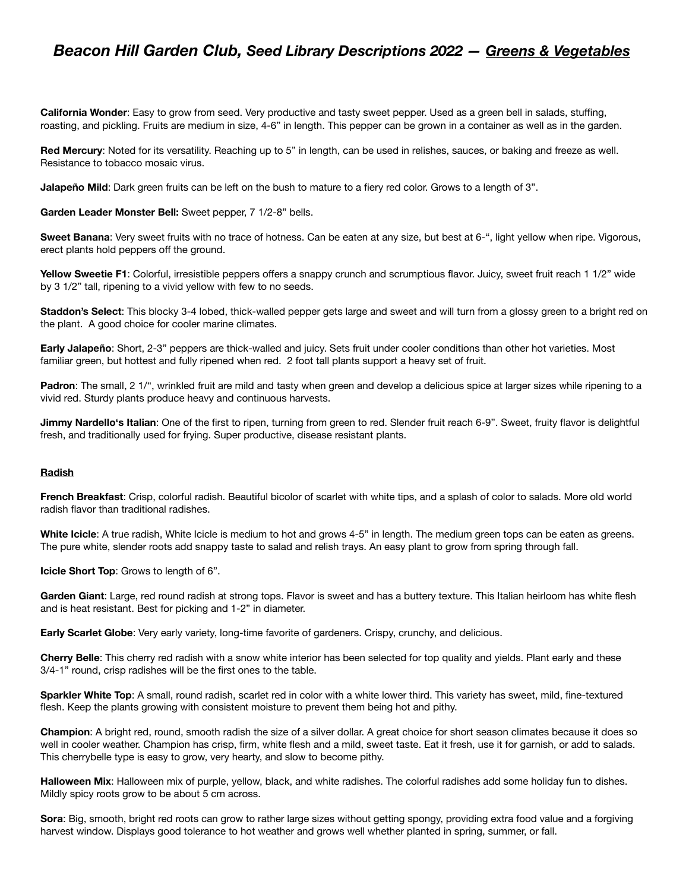**California Wonder**: Easy to grow from seed. Very productive and tasty sweet pepper. Used as a green bell in salads, stuffing, roasting, and pickling. Fruits are medium in size, 4-6" in length. This pepper can be grown in a container as well as in the garden.

**Red Mercury**: Noted for its versatility. Reaching up to 5" in length, can be used in relishes, sauces, or baking and freeze as well. Resistance to tobacco mosaic virus.

**Jalapeño Mild**: Dark green fruits can be left on the bush to mature to a fiery red color. Grows to a length of 3".

**Garden Leader Monster Bell:** Sweet pepper, 7 1/2-8" bells.

**Sweet Banana**: Very sweet fruits with no trace of hotness. Can be eaten at any size, but best at 6-", light yellow when ripe. Vigorous, erect plants hold peppers off the ground.

**Yellow Sweetie F1**: Colorful, irresistible peppers offers a snappy crunch and scrumptious flavor. Juicy, sweet fruit reach 1 1/2" wide by 3 1/2" tall, ripening to a vivid yellow with few to no seeds.

**Staddon's Select**: This blocky 3-4 lobed, thick-walled pepper gets large and sweet and will turn from a glossy green to a bright red on the plant. A good choice for cooler marine climates.

**Early Jalapeño**: Short, 2-3" peppers are thick-walled and juicy. Sets fruit under cooler conditions than other hot varieties. Most familiar green, but hottest and fully ripened when red. 2 foot tall plants support a heavy set of fruit.

**Padron**: The small, 2 1/", wrinkled fruit are mild and tasty when green and develop a delicious spice at larger sizes while ripening to a vivid red. Sturdy plants produce heavy and continuous harvests.

**Jimmy Nardello's Italian**: One of the first to ripen, turning from green to red. Slender fruit reach 6-9". Sweet, fruity flavor is delightful fresh, and traditionally used for frying. Super productive, disease resistant plants.

## **Radish**

**French Breakfast**: Crisp, colorful radish. Beautiful bicolor of scarlet with white tips, and a splash of color to salads. More old world radish flavor than traditional radishes.

**White Icicle**: A true radish, White Icicle is medium to hot and grows 4-5" in length. The medium green tops can be eaten as greens. The pure white, slender roots add snappy taste to salad and relish trays. An easy plant to grow from spring through fall.

**Icicle Short Top**: Grows to length of 6".

**Garden Giant**: Large, red round radish at strong tops. Flavor is sweet and has a buttery texture. This Italian heirloom has white flesh and is heat resistant. Best for picking and 1-2" in diameter.

**Early Scarlet Globe**: Very early variety, long-time favorite of gardeners. Crispy, crunchy, and delicious.

**Cherry Belle**: This cherry red radish with a snow white interior has been selected for top quality and yields. Plant early and these 3/4-1" round, crisp radishes will be the first ones to the table.

**Sparkler White Top**: A small, round radish, scarlet red in color with a white lower third. This variety has sweet, mild, fine-textured flesh. Keep the plants growing with consistent moisture to prevent them being hot and pithy.

**Champion**: A bright red, round, smooth radish the size of a silver dollar. A great choice for short season climates because it does so well in cooler weather. Champion has crisp, firm, white flesh and a mild, sweet taste. Eat it fresh, use it for garnish, or add to salads. This cherrybelle type is easy to grow, very hearty, and slow to become pithy.

**Halloween Mix**: Halloween mix of purple, yellow, black, and white radishes. The colorful radishes add some holiday fun to dishes. Mildly spicy roots grow to be about 5 cm across.

**Sora**: Big, smooth, bright red roots can grow to rather large sizes without getting spongy, providing extra food value and a forgiving harvest window. Displays good tolerance to hot weather and grows well whether planted in spring, summer, or fall.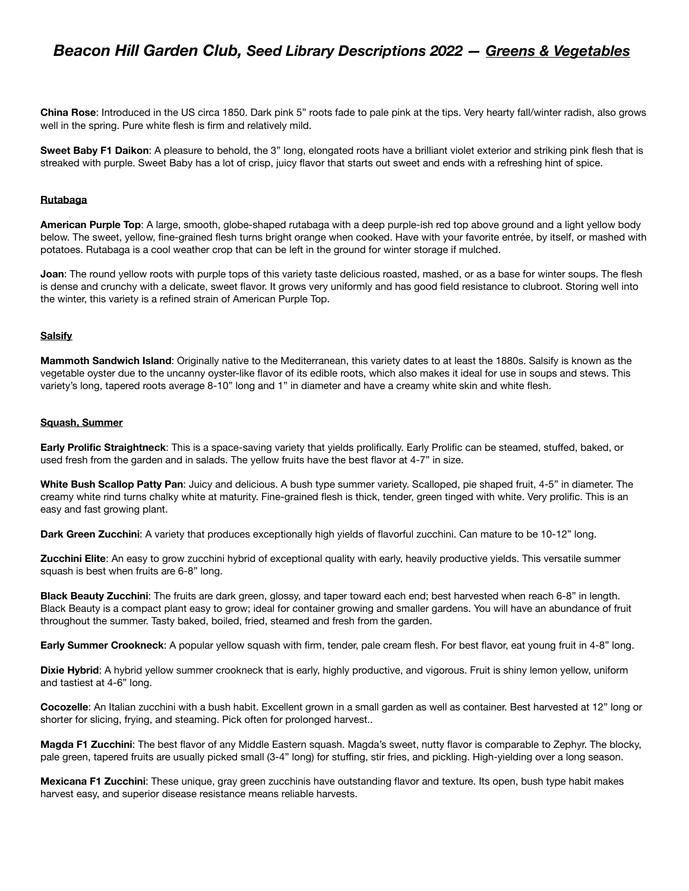**China Rose**: Introduced in the US circa 1850. Dark pink 5" roots fade to pale pink at the tips. Very hearty fall/winter radish, also grows well in the spring. Pure white flesh is firm and relatively mild.

**Sweet Baby F1 Daikon**: A pleasure to behold, the 3" long, elongated roots have a brilliant violet exterior and striking pink flesh that is streaked with purple. Sweet Baby has a lot of crisp, juicy flavor that starts out sweet and ends with a refreshing hint of spice.

## **Rutabaga**

**American Purple Top**: A large, smooth, globe-shaped rutabaga with a deep purple-ish red top above ground and a light yellow body below. The sweet, yellow, fine-grained flesh turns bright orange when cooked. Have with your favorite entrée, by itself, or mashed with potatoes. Rutabaga is a cool weather crop that can be left in the ground for winter storage if mulched.

**Joan**: The round yellow roots with purple tops of this variety taste delicious roasted, mashed, or as a base for winter soups. The flesh is dense and crunchy with a delicate, sweet flavor. It grows very uniformly and has good field resistance to clubroot. Storing well into the winter, this variety is a refined strain of American Purple Top.

### **Salsify**

**Mammoth Sandwich Island**: Originally native to the Mediterranean, this variety dates to at least the 1880s. Salsify is known as the vegetable oyster due to the uncanny oyster-like flavor of its edible roots, which also makes it ideal for use in soups and stews. This variety's long, tapered roots average 8-10" long and 1" in diameter and have a creamy white skin and white flesh.

#### **Squash, Summer**

**Early Prolific Straightneck**: This is a space-saving variety that yields prolifically. Early Prolific can be steamed, stuffed, baked, or used fresh from the garden and in salads. The yellow fruits have the best flavor at 4-7" in size.

**White Bush Scallop Patty Pan**: Juicy and delicious. A bush type summer variety. Scalloped, pie shaped fruit, 4-5" in diameter. The creamy white rind turns chalky white at maturity. Fine-grained flesh is thick, tender, green tinged with white. Very prolific. This is an easy and fast growing plant.

**Dark Green Zucchini**: A variety that produces exceptionally high yields of flavorful zucchini. Can mature to be 10-12" long.

**Zucchini Elite**: An easy to grow zucchini hybrid of exceptional quality with early, heavily productive yields. This versatile summer squash is best when fruits are 6-8" long.

**Black Beauty Zucchini**: The fruits are dark green, glossy, and taper toward each end; best harvested when reach 6-8" in length. Black Beauty is a compact plant easy to grow; ideal for container growing and smaller gardens. You will have an abundance of fruit throughout the summer. Tasty baked, boiled, fried, steamed and fresh from the garden.

**Early Summer Crookneck**: A popular yellow squash with firm, tender, pale cream flesh. For best flavor, eat young fruit in 4-8" long.

**Dixie Hybrid**: A hybrid yellow summer crookneck that is early, highly productive, and vigorous. Fruit is shiny lemon yellow, uniform and tastiest at 4-6" long.

**Cocozelle**: An Italian zucchini with a bush habit. Excellent grown in a small garden as well as container. Best harvested at 12" long or shorter for slicing, frying, and steaming. Pick often for prolonged harvest..

**Magda F1 Zucchini**: The best flavor of any Middle Eastern squash. Magda's sweet, nutty flavor is comparable to Zephyr. The blocky, pale green, tapered fruits are usually picked small (3-4" long) for stuffing, stir fries, and pickling. High-yielding over a long season.

**Mexicana F1 Zucchini**: These unique, gray green zucchinis have outstanding flavor and texture. Its open, bush type habit makes harvest easy, and superior disease resistance means reliable harvests.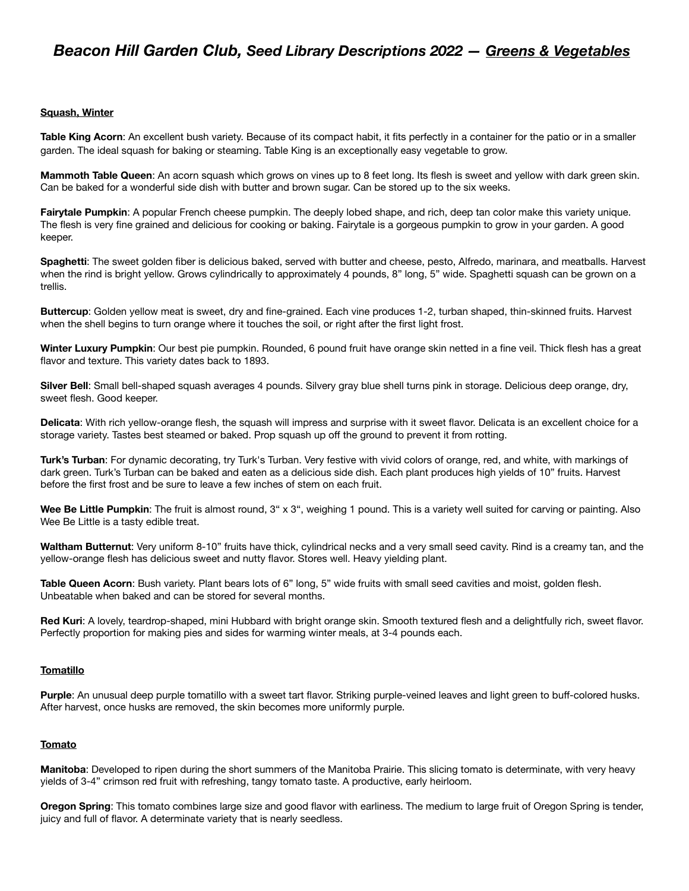## **Squash, Winter**

Table King Acorn: An excellent bush variety. Because of its compact habit, it fits perfectly in a container for the patio or in a smaller garden. The ideal squash for baking or steaming. Table King is an exceptionally easy vegetable to grow.

**Mammoth Table Queen:** An acorn squash which grows on vines up to 8 feet long. Its flesh is sweet and yellow with dark green skin. Can be baked for a wonderful side dish with butter and brown sugar. Can be stored up to the six weeks.

**Fairytale Pumpkin**: A popular French cheese pumpkin. The deeply lobed shape, and rich, deep tan color make this variety unique. The flesh is very fine grained and delicious for cooking or baking. Fairytale is a gorgeous pumpkin to grow in your garden. A good keeper.

**Spaghetti**: The sweet golden fiber is delicious baked, served with butter and cheese, pesto, Alfredo, marinara, and meatballs. Harvest when the rind is bright yellow. Grows cylindrically to approximately 4 pounds, 8" long, 5" wide. Spaghetti squash can be grown on a trellis.

**Buttercup**: Golden yellow meat is sweet, dry and fine-grained. Each vine produces 1-2, turban shaped, thin-skinned fruits. Harvest when the shell begins to turn orange where it touches the soil, or right after the first light frost.

Winter Luxury Pumpkin: Our best pie pumpkin. Rounded, 6 pound fruit have orange skin netted in a fine veil. Thick flesh has a great flavor and texture. This variety dates back to 1893.

**Silver Bell**: Small bell-shaped squash averages 4 pounds. Silvery gray blue shell turns pink in storage. Delicious deep orange, dry, sweet flesh. Good keeper.

**Delicata**: With rich yellow-orange flesh, the squash will impress and surprise with it sweet flavor. Delicata is an excellent choice for a storage variety. Tastes best steamed or baked. Prop squash up off the ground to prevent it from rotting.

**Turk's Turban**: For dynamic decorating, try Turk's Turban. Very festive with vivid colors of orange, red, and white, with markings of dark green. Turk's Turban can be baked and eaten as a delicious side dish. Each plant produces high yields of 10" fruits. Harvest before the first frost and be sure to leave a few inches of stem on each fruit.

Wee Be Little Pumpkin: The fruit is almost round, 3" x 3", weighing 1 pound. This is a variety well suited for carving or painting. Also Wee Be Little is a tasty edible treat.

**Waltham Butternut**: Very uniform 8-10" fruits have thick, cylindrical necks and a very small seed cavity. Rind is a creamy tan, and the yellow-orange flesh has delicious sweet and nutty flavor. Stores well. Heavy yielding plant.

**Table Queen Acorn**: Bush variety. Plant bears lots of 6" long, 5" wide fruits with small seed cavities and moist, golden flesh. Unbeatable when baked and can be stored for several months.

**Red Kuri**: A lovely, teardrop-shaped, mini Hubbard with bright orange skin. Smooth textured flesh and a delightfully rich, sweet flavor. Perfectly proportion for making pies and sides for warming winter meals, at 3-4 pounds each.

## **Tomatillo**

**Purple**: An unusual deep purple tomatillo with a sweet tart flavor. Striking purple-veined leaves and light green to buff-colored husks. After harvest, once husks are removed, the skin becomes more uniformly purple.

### **Tomato**

**Manitoba**: Developed to ripen during the short summers of the Manitoba Prairie. This slicing tomato is determinate, with very heavy yields of 3-4" crimson red fruit with refreshing, tangy tomato taste. A productive, early heirloom.

**Oregon Spring**: This tomato combines large size and good flavor with earliness. The medium to large fruit of Oregon Spring is tender, juicy and full of flavor. A determinate variety that is nearly seedless.